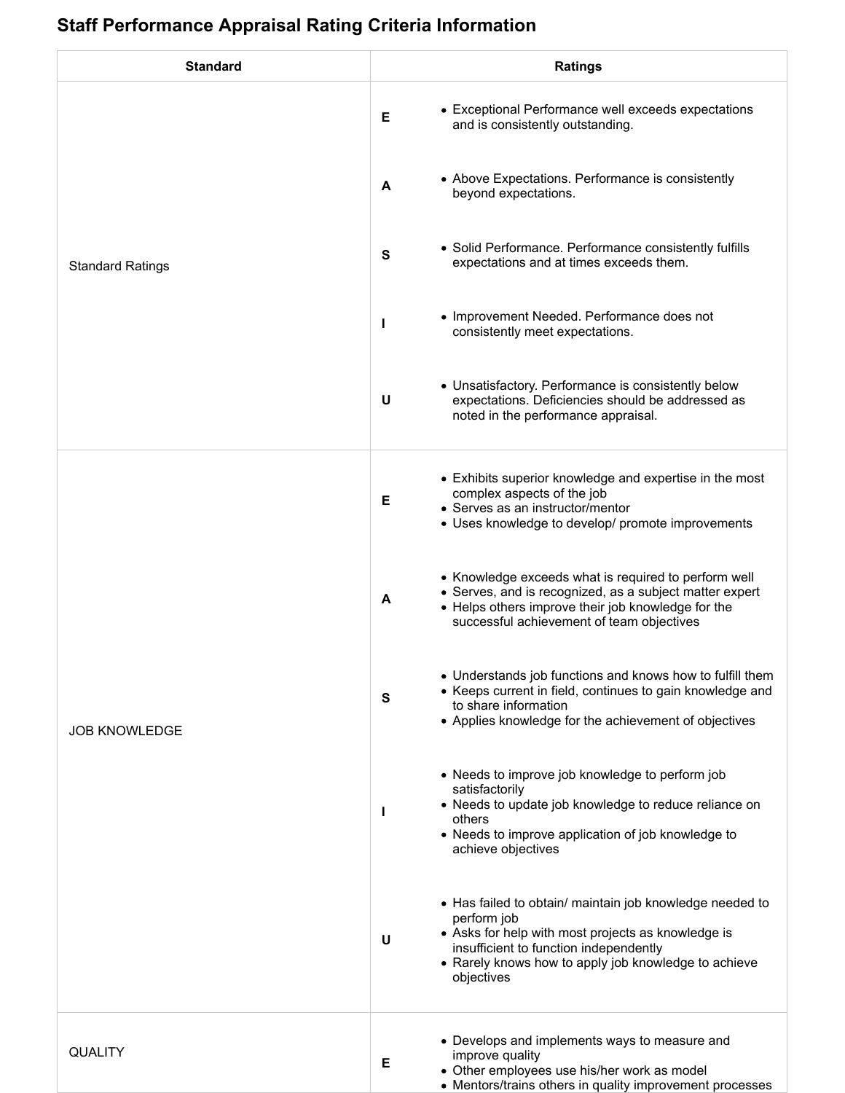## **Staff Performance Appraisal Rating Criteria Information**

| <b>Standard</b>         | <b>Ratings</b>                                                                                                                                                                                                                                     |
|-------------------------|----------------------------------------------------------------------------------------------------------------------------------------------------------------------------------------------------------------------------------------------------|
| <b>Standard Ratings</b> | • Exceptional Performance well exceeds expectations<br>E<br>and is consistently outstanding.                                                                                                                                                       |
|                         | • Above Expectations. Performance is consistently<br>A<br>beyond expectations.                                                                                                                                                                     |
|                         | • Solid Performance. Performance consistently fulfills<br>S<br>expectations and at times exceeds them.                                                                                                                                             |
|                         | • Improvement Needed. Performance does not<br>L<br>consistently meet expectations.                                                                                                                                                                 |
|                         | • Unsatisfactory. Performance is consistently below<br>expectations. Deficiencies should be addressed as<br>U<br>noted in the performance appraisal.                                                                                               |
| <b>JOB KNOWLEDGE</b>    | • Exhibits superior knowledge and expertise in the most<br>complex aspects of the job<br>E<br>• Serves as an instructor/mentor<br>• Uses knowledge to develop/ promote improvements                                                                |
|                         | • Knowledge exceeds what is required to perform well<br>• Serves, and is recognized, as a subject matter expert<br>A<br>• Helps others improve their job knowledge for the<br>successful achievement of team objectives                            |
|                         | • Understands job functions and knows how to fulfill them<br>• Keeps current in field, continues to gain knowledge and<br>${\bf s}$<br>to share information<br>• Applies knowledge for the achievement of objectives                               |
|                         | • Needs to improve job knowledge to perform job<br>satisfactorily<br>• Needs to update job knowledge to reduce reliance on<br>L<br>others<br>• Needs to improve application of job knowledge to<br>achieve objectives                              |
|                         | • Has failed to obtain/ maintain job knowledge needed to<br>perform job<br>• Asks for help with most projects as knowledge is<br>U<br>insufficient to function independently<br>• Rarely knows how to apply job knowledge to achieve<br>objectives |
| QUALITY                 | • Develops and implements ways to measure and<br>improve quality<br>Е<br>• Other employees use his/her work as model<br>• Mentors/trains others in quality improvement processes                                                                   |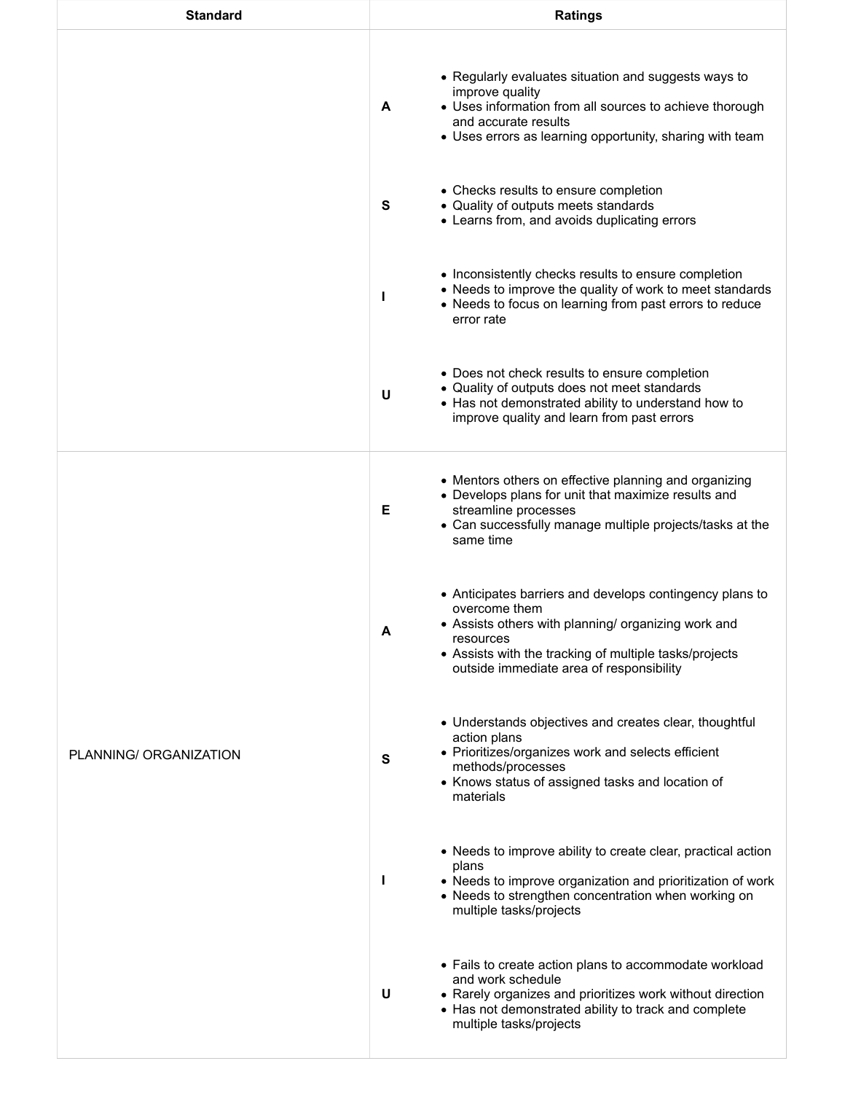| <b>Standard</b>        | <b>Ratings</b>                                                                                                                                                                                                                                           |
|------------------------|----------------------------------------------------------------------------------------------------------------------------------------------------------------------------------------------------------------------------------------------------------|
|                        | • Regularly evaluates situation and suggests ways to<br>improve quality<br>• Uses information from all sources to achieve thorough<br>A<br>and accurate results<br>• Uses errors as learning opportunity, sharing with team                              |
|                        | • Checks results to ensure completion<br>• Quality of outputs meets standards<br>S<br>• Learns from, and avoids duplicating errors                                                                                                                       |
|                        | • Inconsistently checks results to ensure completion<br>• Needs to improve the quality of work to meet standards<br>L<br>• Needs to focus on learning from past errors to reduce<br>error rate                                                           |
|                        | • Does not check results to ensure completion<br>• Quality of outputs does not meet standards<br>U<br>• Has not demonstrated ability to understand how to<br>improve quality and learn from past errors                                                  |
| PLANNING/ ORGANIZATION | • Mentors others on effective planning and organizing<br>• Develops plans for unit that maximize results and<br>Е<br>streamline processes<br>• Can successfully manage multiple projects/tasks at the<br>same time                                       |
|                        | • Anticipates barriers and develops contingency plans to<br>overcome them<br>• Assists others with planning/ organizing work and<br>A<br>resources<br>• Assists with the tracking of multiple tasks/projects<br>outside immediate area of responsibility |
|                        | • Understands objectives and creates clear, thoughtful<br>action plans<br>• Prioritizes/organizes work and selects efficient<br>S<br>methods/processes<br>• Knows status of assigned tasks and location of<br>materials                                  |
|                        | • Needs to improve ability to create clear, practical action<br>plans<br>• Needs to improve organization and prioritization of work<br>L<br>• Needs to strengthen concentration when working on<br>multiple tasks/projects                               |
|                        | • Fails to create action plans to accommodate workload<br>and work schedule<br>U<br>• Rarely organizes and prioritizes work without direction<br>• Has not demonstrated ability to track and complete<br>multiple tasks/projects                         |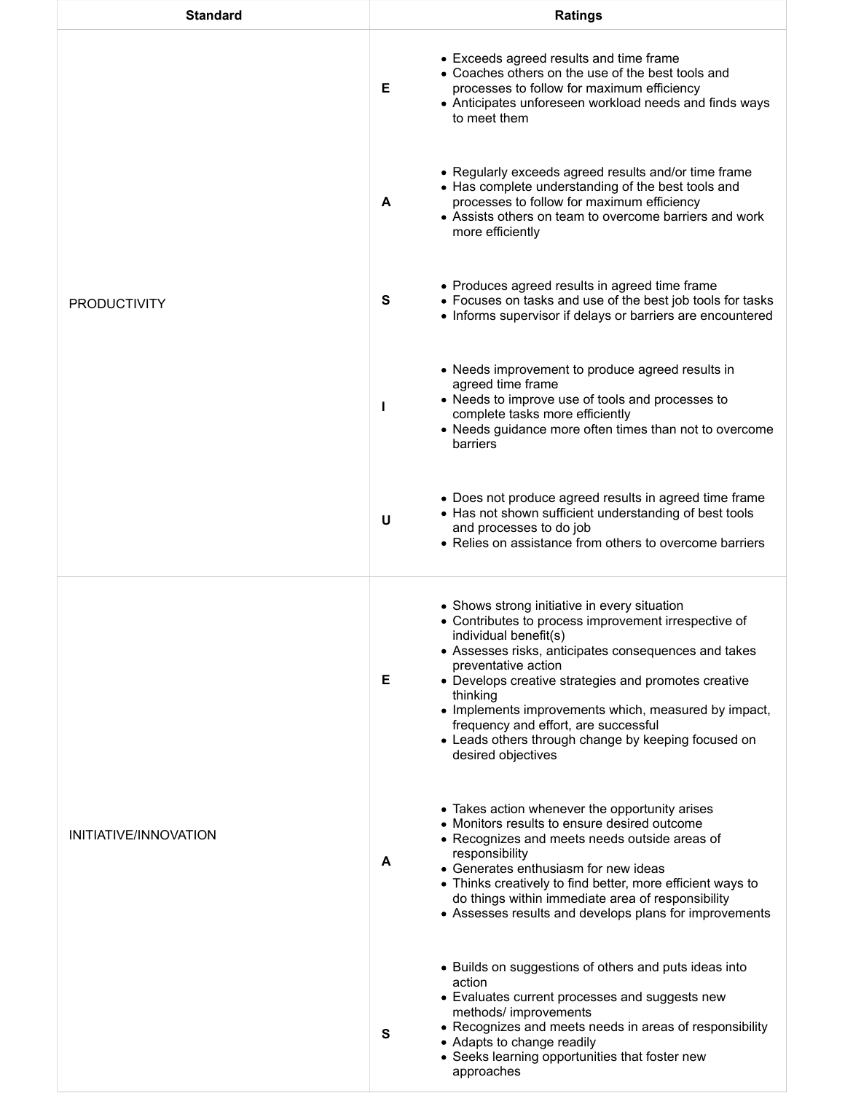| <b>Standard</b>       | <b>Ratings</b>                                                                                                                                                                                                                                                                                                                                                                                                                                                     |
|-----------------------|--------------------------------------------------------------------------------------------------------------------------------------------------------------------------------------------------------------------------------------------------------------------------------------------------------------------------------------------------------------------------------------------------------------------------------------------------------------------|
| <b>PRODUCTIVITY</b>   | • Exceeds agreed results and time frame<br>• Coaches others on the use of the best tools and<br>Е<br>processes to follow for maximum efficiency<br>• Anticipates unforeseen workload needs and finds ways<br>to meet them                                                                                                                                                                                                                                          |
|                       | • Regularly exceeds agreed results and/or time frame<br>• Has complete understanding of the best tools and<br>processes to follow for maximum efficiency<br>A<br>• Assists others on team to overcome barriers and work<br>more efficiently                                                                                                                                                                                                                        |
|                       | • Produces agreed results in agreed time frame<br>s<br>• Focuses on tasks and use of the best job tools for tasks<br>• Informs supervisor if delays or barriers are encountered                                                                                                                                                                                                                                                                                    |
|                       | • Needs improvement to produce agreed results in<br>agreed time frame<br>• Needs to improve use of tools and processes to<br>complete tasks more efficiently<br>• Needs guidance more often times than not to overcome<br>barriers                                                                                                                                                                                                                                 |
|                       | • Does not produce agreed results in agreed time frame<br>• Has not shown sufficient understanding of best tools<br>U<br>and processes to do job<br>• Relies on assistance from others to overcome barriers                                                                                                                                                                                                                                                        |
| INITIATIVE/INNOVATION | • Shows strong initiative in every situation<br>• Contributes to process improvement irrespective of<br>individual benefit(s)<br>• Assesses risks, anticipates consequences and takes<br>preventative action<br>Е<br>• Develops creative strategies and promotes creative<br>thinking<br>• Implements improvements which, measured by impact,<br>frequency and effort, are successful<br>• Leads others through change by keeping focused on<br>desired objectives |
|                       | • Takes action whenever the opportunity arises<br>• Monitors results to ensure desired outcome<br>• Recognizes and meets needs outside areas of<br>responsibility<br>A<br>• Generates enthusiasm for new ideas<br>• Thinks creatively to find better, more efficient ways to<br>do things within immediate area of responsibility<br>• Assesses results and develops plans for improvements                                                                        |
|                       | • Builds on suggestions of others and puts ideas into<br>action<br>• Evaluates current processes and suggests new<br>methods/ improvements<br>• Recognizes and meets needs in areas of responsibility<br>s<br>• Adapts to change readily<br>• Seeks learning opportunities that foster new<br>approaches                                                                                                                                                           |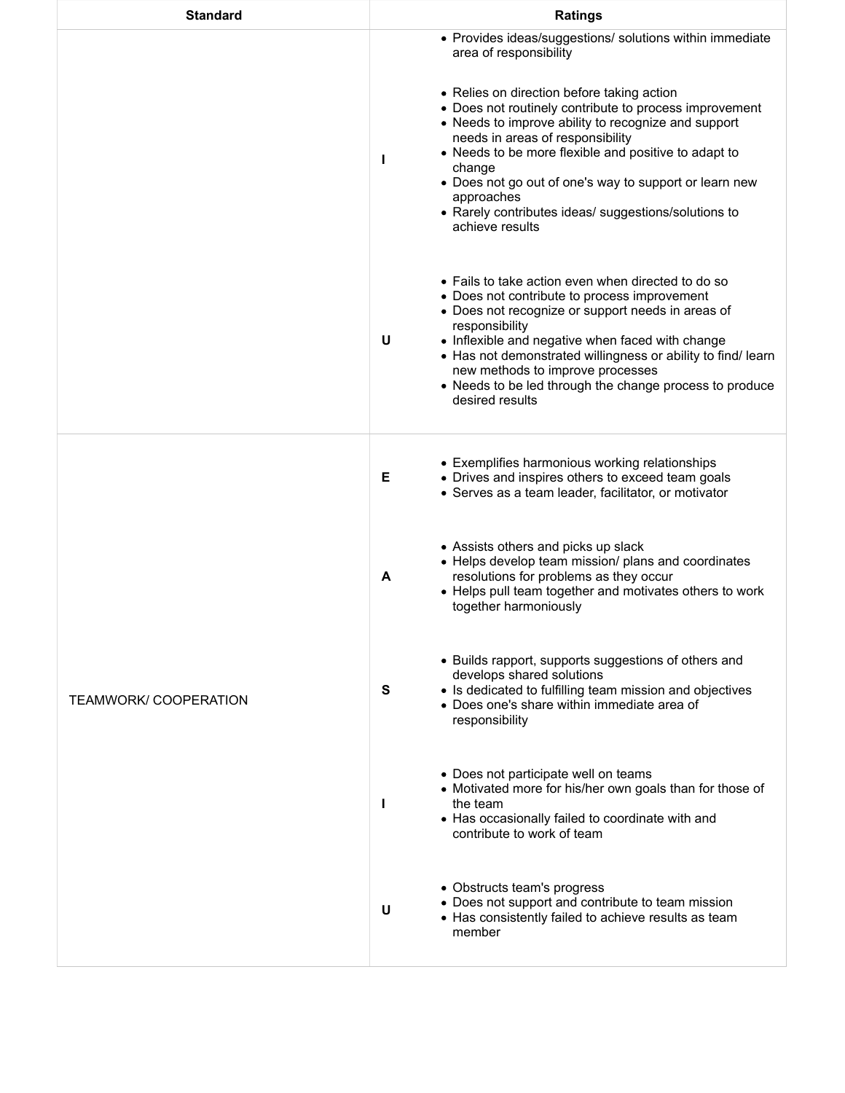| <b>Standard</b>              | <b>Ratings</b>                                                                                                                                                                                                                                                                                                                                                                                                            |
|------------------------------|---------------------------------------------------------------------------------------------------------------------------------------------------------------------------------------------------------------------------------------------------------------------------------------------------------------------------------------------------------------------------------------------------------------------------|
|                              | • Provides ideas/suggestions/ solutions within immediate<br>area of responsibility                                                                                                                                                                                                                                                                                                                                        |
|                              | • Relies on direction before taking action<br>• Does not routinely contribute to process improvement<br>• Needs to improve ability to recognize and support<br>needs in areas of responsibility<br>• Needs to be more flexible and positive to adapt to<br>H<br>change<br>• Does not go out of one's way to support or learn new<br>approaches<br>• Rarely contributes ideas/ suggestions/solutions to<br>achieve results |
|                              | • Fails to take action even when directed to do so<br>• Does not contribute to process improvement<br>• Does not recognize or support needs in areas of<br>responsibility<br>• Inflexible and negative when faced with change<br>U<br>• Has not demonstrated willingness or ability to find/learn<br>new methods to improve processes<br>• Needs to be led through the change process to produce<br>desired results       |
| <b>TEAMWORK/ COOPERATION</b> | • Exemplifies harmonious working relationships<br>• Drives and inspires others to exceed team goals<br>Е<br>• Serves as a team leader, facilitator, or motivator                                                                                                                                                                                                                                                          |
|                              | • Assists others and picks up slack<br>• Helps develop team mission/ plans and coordinates<br>resolutions for problems as they occur<br>A<br>• Helps pull team together and motivates others to work<br>together harmoniously                                                                                                                                                                                             |
|                              | • Builds rapport, supports suggestions of others and<br>develops shared solutions<br>• Is dedicated to fulfilling team mission and objectives<br>S<br>• Does one's share within immediate area of<br>responsibility                                                                                                                                                                                                       |
|                              | • Does not participate well on teams<br>• Motivated more for his/her own goals than for those of<br>I.<br>the team<br>• Has occasionally failed to coordinate with and<br>contribute to work of team                                                                                                                                                                                                                      |
|                              | • Obstructs team's progress<br>• Does not support and contribute to team mission<br>U<br>• Has consistently failed to achieve results as team<br>member                                                                                                                                                                                                                                                                   |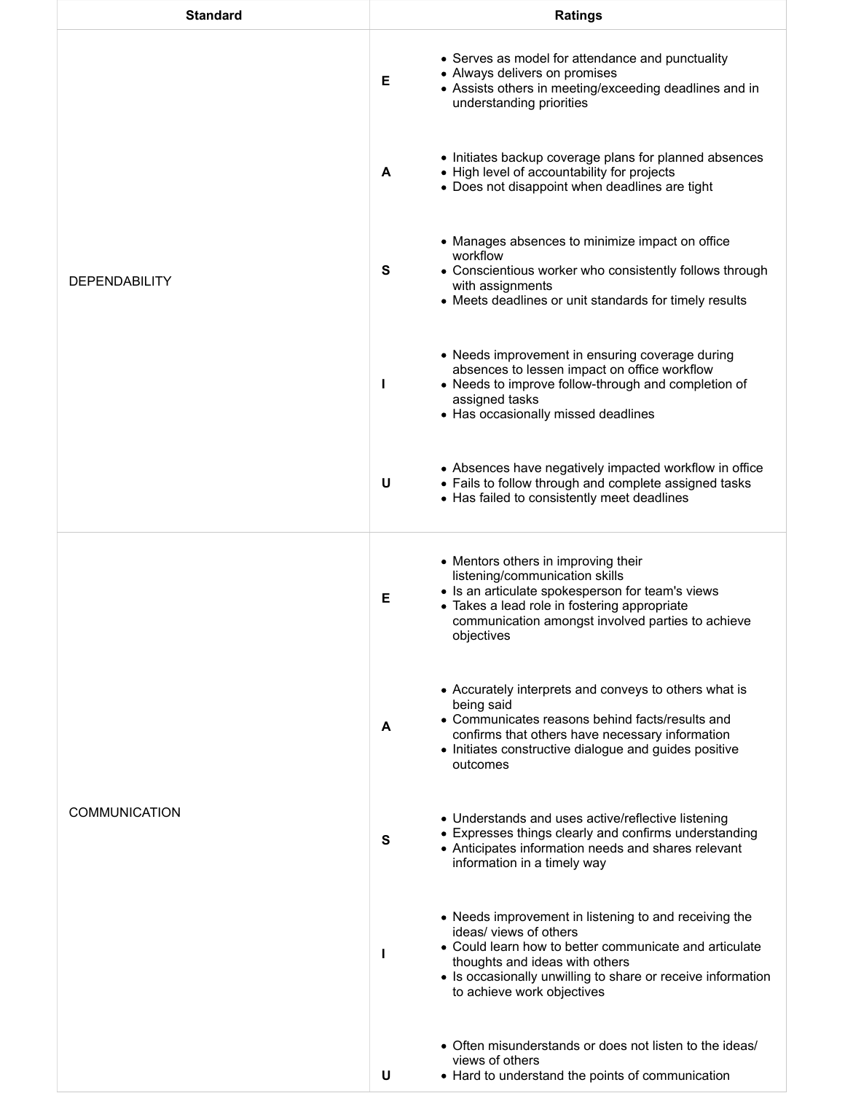| <b>Standard</b>      | <b>Ratings</b>                                                                                                                                                                                                                                                               |
|----------------------|------------------------------------------------------------------------------------------------------------------------------------------------------------------------------------------------------------------------------------------------------------------------------|
| <b>DEPENDABILITY</b> | • Serves as model for attendance and punctuality<br>• Always delivers on promises<br>Е<br>• Assists others in meeting/exceeding deadlines and in<br>understanding priorities                                                                                                 |
|                      | • Initiates backup coverage plans for planned absences<br>• High level of accountability for projects<br>A<br>• Does not disappoint when deadlines are tight                                                                                                                 |
|                      | • Manages absences to minimize impact on office<br>workflow<br>S<br>• Conscientious worker who consistently follows through<br>with assignments<br>• Meets deadlines or unit standards for timely results                                                                    |
|                      | • Needs improvement in ensuring coverage during<br>absences to lessen impact on office workflow<br>• Needs to improve follow-through and completion of<br>ı<br>assigned tasks<br>• Has occasionally missed deadlines                                                         |
|                      | • Absences have negatively impacted workflow in office<br>U<br>• Fails to follow through and complete assigned tasks<br>• Has failed to consistently meet deadlines                                                                                                          |
| <b>COMMUNICATION</b> | • Mentors others in improving their<br>listening/communication skills<br>• Is an articulate spokesperson for team's views<br>Е<br>• Takes a lead role in fostering appropriate<br>communication amongst involved parties to achieve<br>objectives                            |
|                      | • Accurately interprets and conveys to others what is<br>being said<br>• Communicates reasons behind facts/results and<br>A<br>confirms that others have necessary information<br>• Initiates constructive dialogue and guides positive<br>outcomes                          |
|                      | • Understands and uses active/reflective listening<br>• Expresses things clearly and confirms understanding<br>S<br>• Anticipates information needs and shares relevant<br>information in a timely way                                                                       |
|                      | • Needs improvement in listening to and receiving the<br>ideas/views of others<br>• Could learn how to better communicate and articulate<br>L<br>thoughts and ideas with others<br>• Is occasionally unwilling to share or receive information<br>to achieve work objectives |
|                      | • Often misunderstands or does not listen to the ideas/<br>views of others<br>U<br>• Hard to understand the points of communication                                                                                                                                          |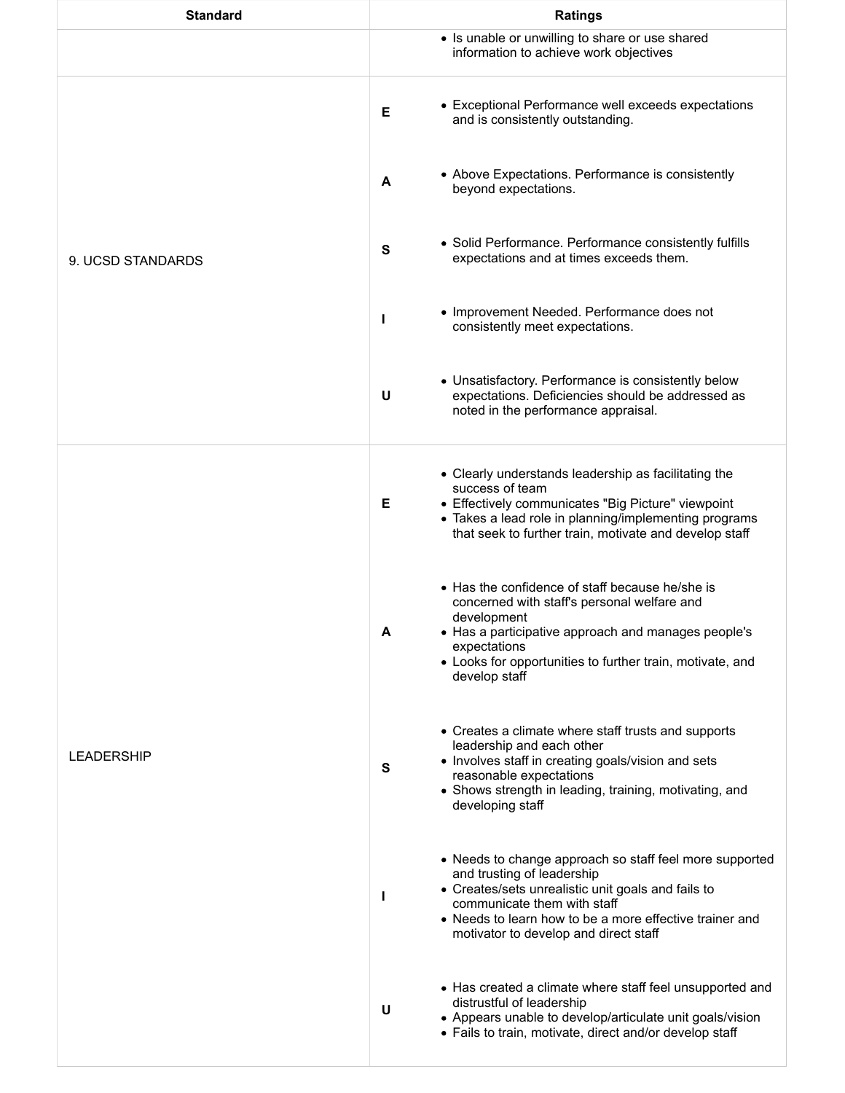| <b>Standard</b>   | <b>Ratings</b>                                                                                                                                                                                                                                                                      |
|-------------------|-------------------------------------------------------------------------------------------------------------------------------------------------------------------------------------------------------------------------------------------------------------------------------------|
|                   | • Is unable or unwilling to share or use shared<br>information to achieve work objectives                                                                                                                                                                                           |
| 9. UCSD STANDARDS | • Exceptional Performance well exceeds expectations<br>E<br>and is consistently outstanding.                                                                                                                                                                                        |
|                   | • Above Expectations. Performance is consistently<br>A<br>beyond expectations.                                                                                                                                                                                                      |
|                   | • Solid Performance. Performance consistently fulfills<br>S<br>expectations and at times exceeds them.                                                                                                                                                                              |
|                   | • Improvement Needed. Performance does not<br>H<br>consistently meet expectations.                                                                                                                                                                                                  |
|                   | • Unsatisfactory. Performance is consistently below<br>U<br>expectations. Deficiencies should be addressed as<br>noted in the performance appraisal.                                                                                                                                |
| <b>LEADERSHIP</b> | • Clearly understands leadership as facilitating the<br>success of team<br>• Effectively communicates "Big Picture" viewpoint<br>Е<br>• Takes a lead role in planning/implementing programs<br>that seek to further train, motivate and develop staff                               |
|                   | • Has the confidence of staff because he/she is<br>concerned with staff's personal welfare and<br>development<br>• Has a participative approach and manages people's<br>A<br>expectations<br>• Looks for opportunities to further train, motivate, and<br>develop staff             |
|                   | • Creates a climate where staff trusts and supports<br>leadership and each other<br>• Involves staff in creating goals/vision and sets<br>S<br>reasonable expectations<br>• Shows strength in leading, training, motivating, and<br>developing staff                                |
|                   | • Needs to change approach so staff feel more supported<br>and trusting of leadership<br>• Creates/sets unrealistic unit goals and fails to<br>H<br>communicate them with staff<br>• Needs to learn how to be a more effective trainer and<br>motivator to develop and direct staff |
|                   | • Has created a climate where staff feel unsupported and<br>distrustful of leadership<br>U<br>• Appears unable to develop/articulate unit goals/vision<br>• Fails to train, motivate, direct and/or develop staff                                                                   |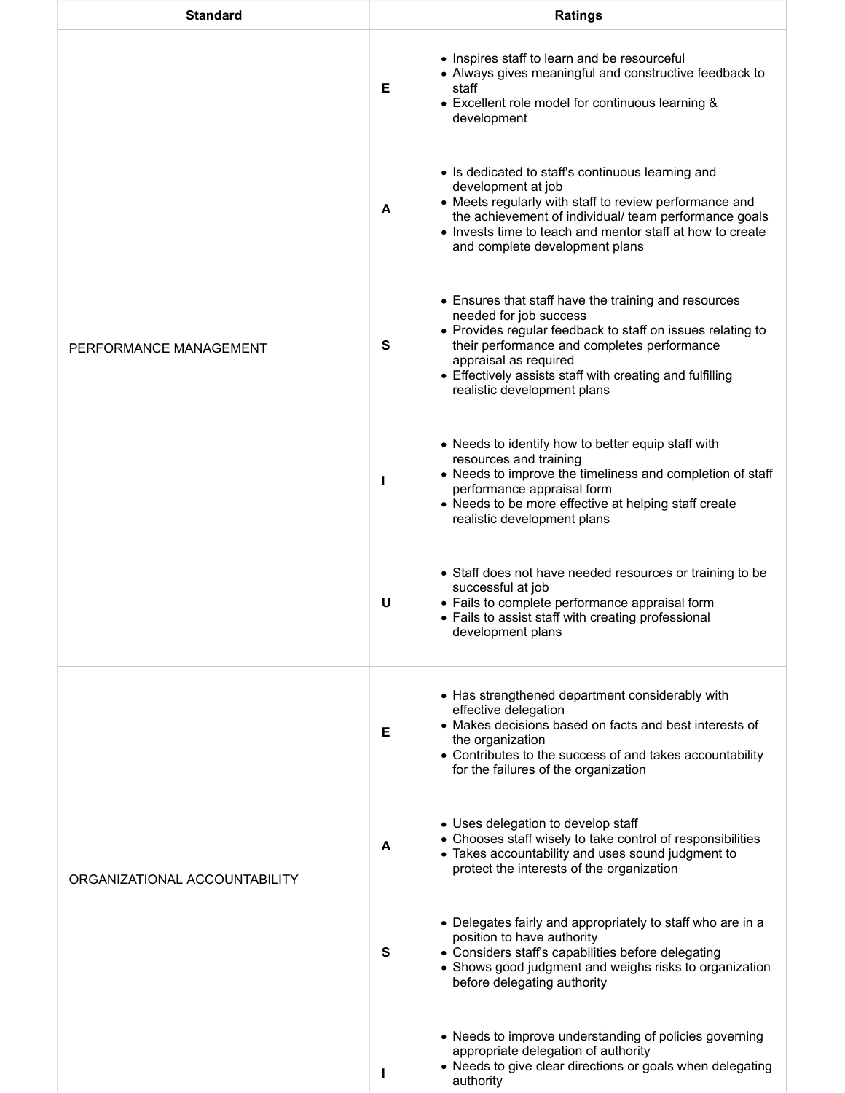| <b>Standard</b>               | <b>Ratings</b>                                                                                                                                                                                                                                                                                                       |
|-------------------------------|----------------------------------------------------------------------------------------------------------------------------------------------------------------------------------------------------------------------------------------------------------------------------------------------------------------------|
| PERFORMANCE MANAGEMENT        | • Inspires staff to learn and be resourceful<br>• Always gives meaningful and constructive feedback to<br>Е<br>staff<br>• Excellent role model for continuous learning &<br>development                                                                                                                              |
|                               | • Is dedicated to staff's continuous learning and<br>development at job<br>• Meets regularly with staff to review performance and<br>A<br>the achievement of individual/ team performance goals<br>• Invests time to teach and mentor staff at how to create<br>and complete development plans                       |
|                               | • Ensures that staff have the training and resources<br>needed for job success<br>• Provides regular feedback to staff on issues relating to<br>their performance and completes performance<br>S<br>appraisal as required<br>• Effectively assists staff with creating and fulfilling<br>realistic development plans |
|                               | • Needs to identify how to better equip staff with<br>resources and training<br>• Needs to improve the timeliness and completion of staff<br>ı<br>performance appraisal form<br>• Needs to be more effective at helping staff create<br>realistic development plans                                                  |
|                               | • Staff does not have needed resources or training to be<br>successful at job<br>U<br>• Fails to complete performance appraisal form<br>• Fails to assist staff with creating professional<br>development plans                                                                                                      |
| ORGANIZATIONAL ACCOUNTABILITY | • Has strengthened department considerably with<br>effective delegation<br>• Makes decisions based on facts and best interests of<br>Е<br>the organization<br>• Contributes to the success of and takes accountability<br>for the failures of the organization                                                       |
|                               | • Uses delegation to develop staff<br>• Chooses staff wisely to take control of responsibilities<br>A<br>• Takes accountability and uses sound judgment to<br>protect the interests of the organization                                                                                                              |
|                               | • Delegates fairly and appropriately to staff who are in a<br>position to have authority<br>• Considers staff's capabilities before delegating<br>S<br>• Shows good judgment and weighs risks to organization<br>before delegating authority                                                                         |
|                               | • Needs to improve understanding of policies governing<br>appropriate delegation of authority<br>• Needs to give clear directions or goals when delegating<br>ı<br>authority                                                                                                                                         |